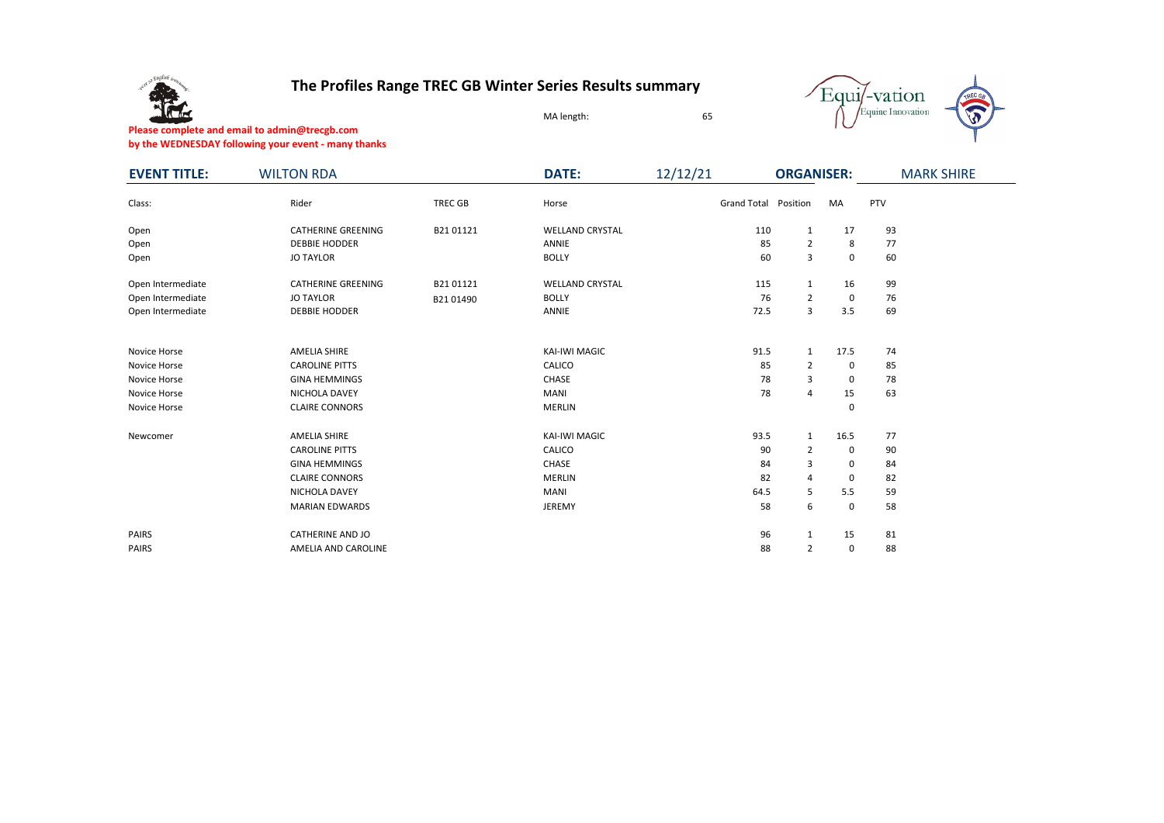

## **The Profiles Range TREC GB Winter Series Results summary**



**Please complete and email to admin@trecgb.com by the WEDNESDAY following your event - many thanks**

| <b>EVENT TITLE:</b> | <b>WILTON RDA</b>         |                | <b>DATE:</b>           | 12/12/21             | <b>ORGANISER:</b> |      |     | <b>MARK SHIRE</b> |  |  |
|---------------------|---------------------------|----------------|------------------------|----------------------|-------------------|------|-----|-------------------|--|--|
| Class:              | Rider                     | <b>TREC GB</b> | Horse                  | Grand Total Position |                   | MA   | PTV |                   |  |  |
| Open                | <b>CATHERINE GREENING</b> | B2101121       | <b>WELLAND CRYSTAL</b> | 110                  | $\mathbf{1}$      | 17   | 93  |                   |  |  |
| Open                | <b>DEBBIE HODDER</b>      |                | <b>ANNIE</b>           | 85                   | $\overline{2}$    | 8    | 77  |                   |  |  |
| Open                | <b>JO TAYLOR</b>          |                | <b>BOLLY</b>           | 60                   | 3                 | 0    | 60  |                   |  |  |
| Open Intermediate   | <b>CATHERINE GREENING</b> | B2101121       | <b>WELLAND CRYSTAL</b> | 115                  | $\mathbf{1}$      | 16   | 99  |                   |  |  |
| Open Intermediate   | <b>JO TAYLOR</b>          | B2101490       | <b>BOLLY</b>           | 76                   | $\overline{2}$    | 0    | 76  |                   |  |  |
| Open Intermediate   | <b>DEBBIE HODDER</b>      |                | ANNIE                  | 72.5                 | 3                 | 3.5  | 69  |                   |  |  |
|                     |                           |                |                        |                      |                   |      |     |                   |  |  |
| Novice Horse        | AMELIA SHIRE              |                | KAI-IWI MAGIC          | 91.5                 | $\mathbf{1}$      | 17.5 | 74  |                   |  |  |
| Novice Horse        | <b>CAROLINE PITTS</b>     |                | CALICO                 | 85                   | $\overline{2}$    | 0    | 85  |                   |  |  |
| Novice Horse        | <b>GINA HEMMINGS</b>      |                | CHASE                  | 78                   | 3                 | 0    | 78  |                   |  |  |
| Novice Horse        | NICHOLA DAVEY             |                | <b>MANI</b>            | 78                   | 4                 | 15   | 63  |                   |  |  |
| Novice Horse        | <b>CLAIRE CONNORS</b>     |                | <b>MERLIN</b>          |                      |                   | 0    |     |                   |  |  |
| Newcomer            | <b>AMELIA SHIRE</b>       |                | KAI-IWI MAGIC          | 93.5                 | $\mathbf{1}$      | 16.5 | 77  |                   |  |  |
|                     | <b>CAROLINE PITTS</b>     |                | CALICO                 | 90                   | $\overline{2}$    | 0    | 90  |                   |  |  |
|                     | <b>GINA HEMMINGS</b>      |                | CHASE                  | 84                   | 3                 | 0    | 84  |                   |  |  |
|                     | <b>CLAIRE CONNORS</b>     |                | <b>MERLIN</b>          | 82                   | $\overline{4}$    | 0    | 82  |                   |  |  |
|                     | NICHOLA DAVEY             |                | <b>MANI</b>            | 64.5                 | 5                 | 5.5  | 59  |                   |  |  |
|                     | <b>MARIAN EDWARDS</b>     |                | JEREMY                 | 58                   | 6                 | 0    | 58  |                   |  |  |
| <b>PAIRS</b>        | <b>CATHERINE AND JO</b>   |                |                        | 96                   | $\mathbf{1}$      | 15   | 81  |                   |  |  |
| <b>PAIRS</b>        | AMELIA AND CAROLINE       |                |                        | 88                   | $\overline{2}$    | 0    | 88  |                   |  |  |

MA length: 65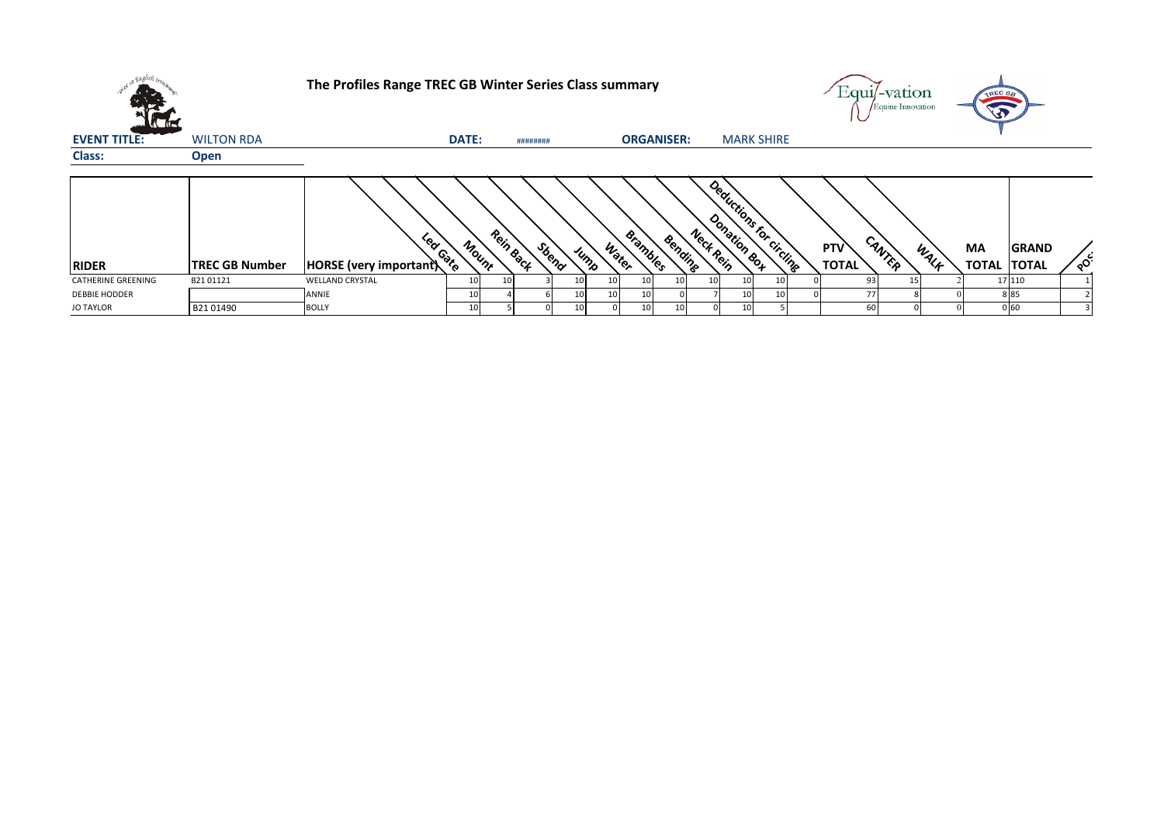|                           |                       | The Profiles Range TREC GB Winter Series Class summary |                       |                    |               |                       |                 |                         |                     | ±qui/-vation<br>/Equine Innovation | TREC GB<br>$\bigcirc$                              |
|---------------------------|-----------------------|--------------------------------------------------------|-----------------------|--------------------|---------------|-----------------------|-----------------|-------------------------|---------------------|------------------------------------|----------------------------------------------------|
| <b>EVENT TITLE:</b>       | <b>WILTON RDA</b>     |                                                        | DATE:                 | ########           |               | <b>ORGANISER:</b>     |                 | <b>MARK SHIRE</b>       |                     |                                    |                                                    |
| Class:                    | <b>Open</b>           |                                                        |                       |                    |               |                       |                 |                         |                     |                                    |                                                    |
| <b>RIDER</b>              | <b>TREC GB Number</b> | Lear Gate<br>HORSE (very important)                    | Mount                 | Rein Back<br>Sbeno | Water<br>Jump | Brambles<br>Bending   | Neck Rein       | Deductions for circling | PTV<br><b>TOTAL</b> | CANTER<br>WALK                     | MA<br><b>GRAND</b><br><b>TOTAL</b><br><b>TOTAL</b> |
| <b>CATHERINE GREENING</b> | B2101121              | <b>WELLAND CRYSTAL</b>                                 | 10 <sup>1</sup><br>10 |                    | 10            | 10 <sup>1</sup><br>10 | 10 <sup>1</sup> |                         | 93                  | 15                                 | 17 110                                             |
| <b>DEBBIE HODDER</b>      |                       | ANNIE                                                  | 10 <sub>1</sub>       |                    |               | 10                    |                 |                         | 77                  |                                    | 885                                                |
| <b>JO TAYLOR</b>          | B2101490              | <b>BOLLY</b>                                           | 10 <sup>1</sup>       |                    |               | 10<br>10              |                 |                         | 60                  |                                    | 060                                                |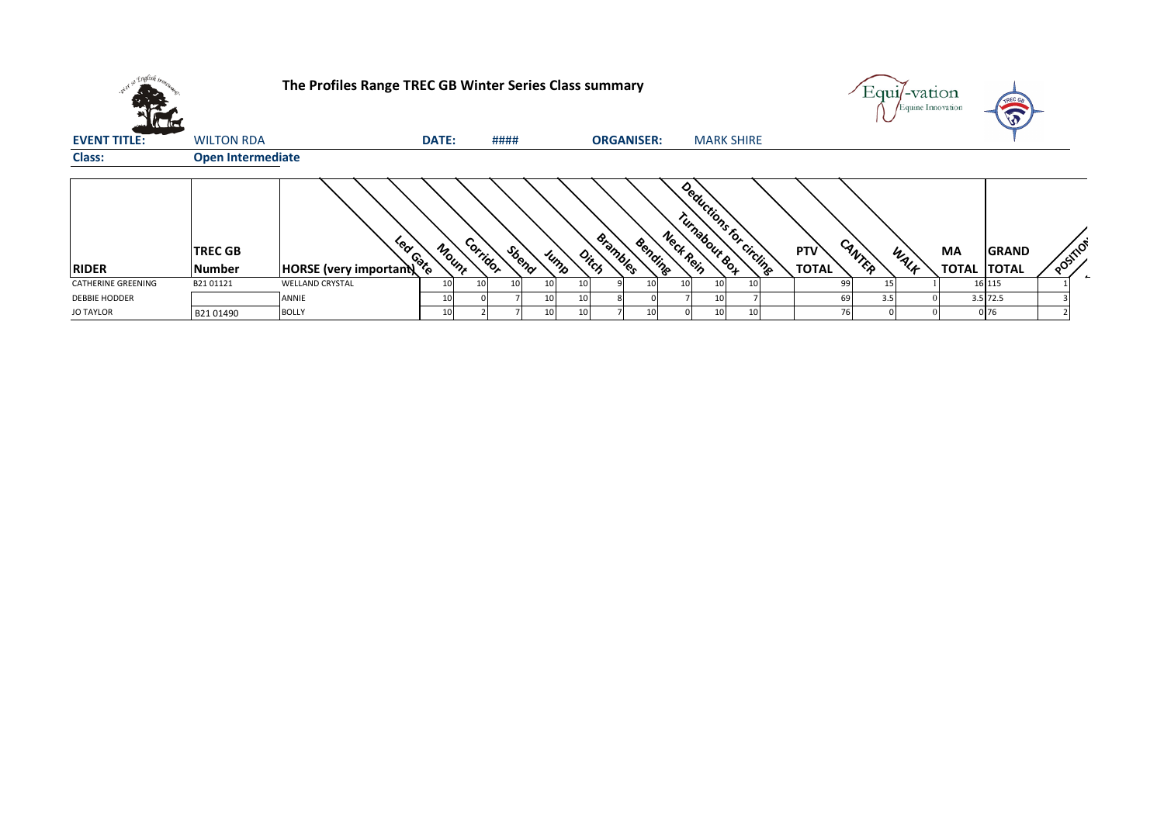|                      |                                 | The Profiles Range TREC GB Winter Series Class summary |                 |           |       |      |    |                          |         |           |                                          |    |                            |           | Equi/-vation<br>Equine Innovation |                           | TREC GR<br>5                 |        |
|----------------------|---------------------------------|--------------------------------------------------------|-----------------|-----------|-------|------|----|--------------------------|---------|-----------|------------------------------------------|----|----------------------------|-----------|-----------------------------------|---------------------------|------------------------------|--------|
| <b>EVENT TITLE:</b>  | <b>WILTON RDA</b>               |                                                        | <b>DATE:</b>    |           | ####  |      |    | <b>ORGANISER:</b>        |         |           | <b>MARK SHIRE</b>                        |    |                            |           |                                   |                           |                              |        |
| <b>Class:</b>        | <b>Open Intermediate</b>        |                                                        |                 |           |       |      |    |                          |         |           |                                          |    |                            |           |                                   |                           |                              |        |
| <b>RIDER</b>         | <b>TREC GB</b><br><b>Number</b> | Lear Gate<br><b>HORSE</b> (very important)             | Mount           | Corridor  | Sbend | Jump |    | <b>Brambles</b><br>Ditch | Bending | Neck Rein | Deductions for circling<br>Turnabout &o4 |    | <b>PTV</b><br><b>TOTAL</b> | CANTER    | WALF                              | <b>MA</b><br><b>TOTAL</b> | <b>GRAND</b><br><b>TOTAL</b> | POSIT. |
| CATHERINE GREENING   | B2101121                        | <b>WELLAND CRYSTAL</b>                                 | 10              | <b>10</b> |       |      | 10 |                          | 10      | 10        |                                          | 10 |                            | 99        |                                   |                           | 16 115                       |        |
| <b>DEBBIE HODDER</b> |                                 | ANNIE                                                  | 10 <sup>1</sup> |           |       |      | 10 |                          |         |           |                                          |    |                            | 69<br>3.5 |                                   |                           | $3.5$ 72.5                   |        |
| <b>JO TAYLOR</b>     | B2101490                        | <b>BOLLY</b>                                           | 10 <sup>1</sup> |           |       |      | 10 |                          | 10      |           |                                          | 10 |                            | <b>76</b> |                                   |                           | 0 76                         |        |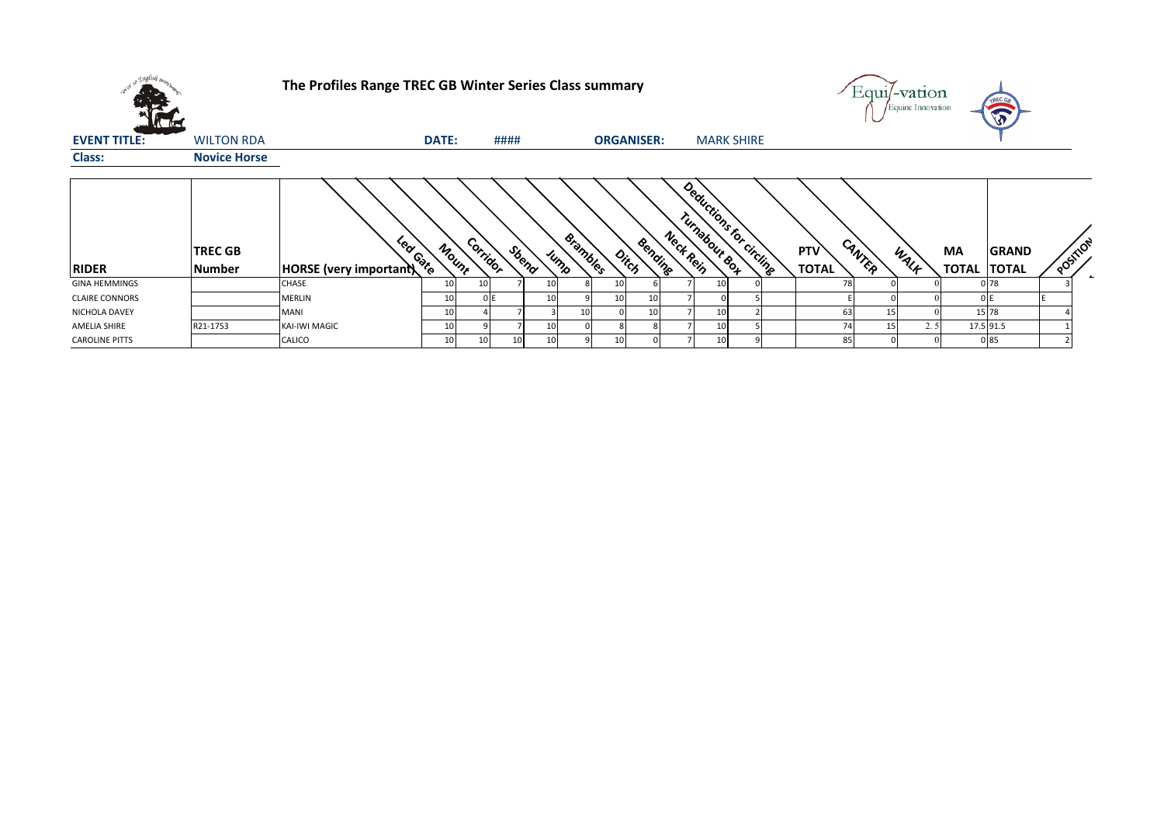|                       |                          | The Profiles Range TREC GB Winter Series Class summary |       |          |      |       |                         |                   |         |           |                                           |  |                     |        | Equi/-vation<br>Equine Innovation |                           |                              |          |  |
|-----------------------|--------------------------|--------------------------------------------------------|-------|----------|------|-------|-------------------------|-------------------|---------|-----------|-------------------------------------------|--|---------------------|--------|-----------------------------------|---------------------------|------------------------------|----------|--|
| <b>EVENT TITLE:</b>   | <b>WILTON RDA</b>        |                                                        | DATE: |          | #### |       |                         | <b>ORGANISER:</b> |         |           | <b>MARK SHIRE</b>                         |  |                     |        |                                   |                           |                              |          |  |
| <b>Class:</b>         | <b>Novice Horse</b>      |                                                        |       |          |      |       |                         |                   |         |           |                                           |  |                     |        |                                   |                           |                              |          |  |
| <b>RIDER</b>          | <b>TREC GB</b><br>Number | Lear Gate<br><b>HORSE</b> (very important)             | Mount | Corridor |      | Sbend | <b>Brambles</b><br>Jump | Ditch             | Bending | Neck Rein | Deductions for circlingen<br>Tunabour eos |  | PTV<br><b>TOTAL</b> | CANTER | WALK                              | <b>MA</b><br><b>TOTAL</b> | <b>GRAND</b><br><b>TOTAL</b> | POSITION |  |
| <b>GINA HEMMINGS</b>  |                          | CHASE                                                  | 10    | 10       |      | 10    |                         | 10                |         |           | 10                                        |  | 78                  |        |                                   |                           | 078                          |          |  |
| <b>CLAIRE CONNORS</b> |                          | <b>MERLIN</b>                                          | 10    | 0E       |      | 10    |                         | 10                | 10      |           |                                           |  |                     |        |                                   |                           |                              |          |  |
| NICHOLA DAVEY         |                          | <b>MANI</b>                                            | 10    |          |      |       | 10                      |                   | 10      |           | 10                                        |  | 63                  | 15     |                                   |                           | 15 78                        |          |  |
| AMELIA SHIRE          | R21-1753                 | KAI-IWI MAGIC                                          | 1(    |          |      | 10    |                         |                   |         |           | 10                                        |  | 74                  |        | 2.5                               |                           | 17.5 91.5                    |          |  |
| <b>CAROLINE PITTS</b> |                          | CALICO                                                 | 10    |          | 10   | 10    |                         | 10                |         |           | 10                                        |  | 85                  |        |                                   |                           | 085                          |          |  |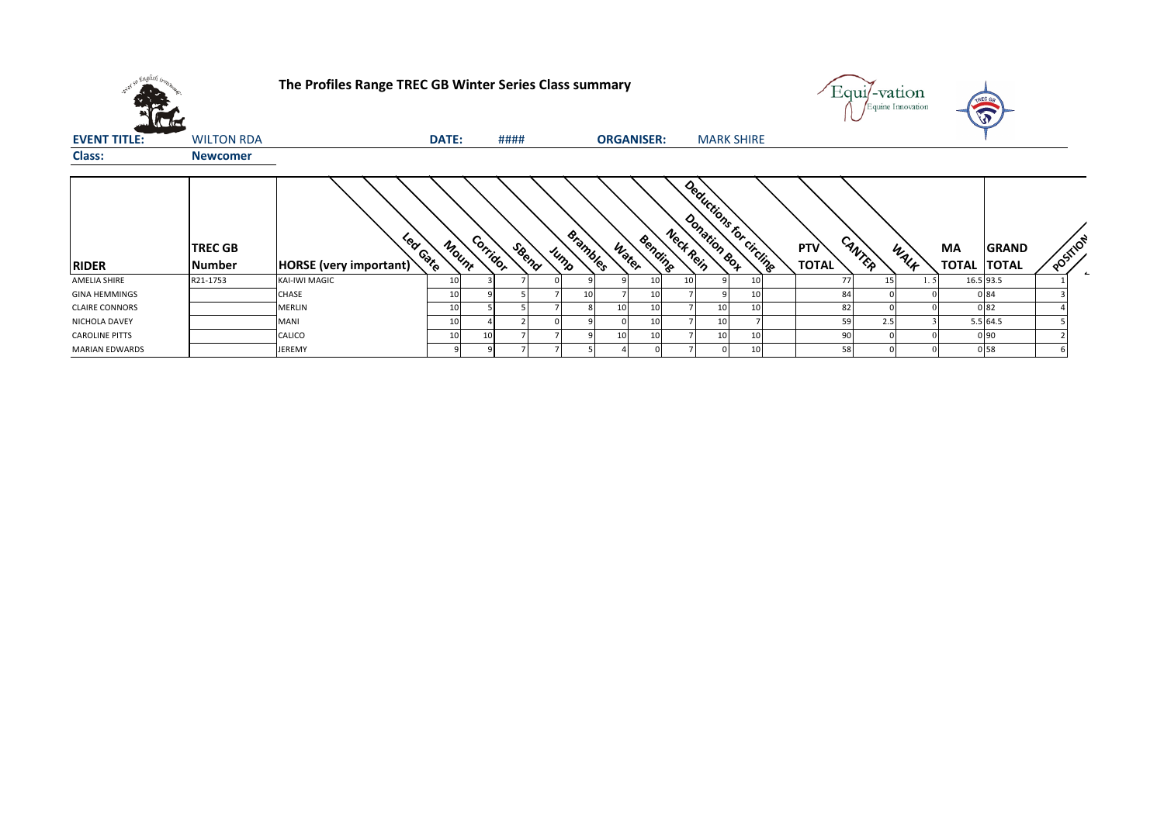|                       |                          | The Profiles Range TREC GB Winter Series Class summary |       |          |       |                         |       |                   |                                      |                   |                     | Equi/-vation<br>Equine Innovation |      | <b>VAREC GA</b><br>$\mathbf{v}$                    |          |
|-----------------------|--------------------------|--------------------------------------------------------|-------|----------|-------|-------------------------|-------|-------------------|--------------------------------------|-------------------|---------------------|-----------------------------------|------|----------------------------------------------------|----------|
| <b>EVENT TITLE:</b>   | <b>WILTON RDA</b>        |                                                        | DATE: |          | ####  |                         |       | <b>ORGANISER:</b> |                                      | <b>MARK SHIRE</b> |                     |                                   |      |                                                    |          |
| <b>Class:</b>         | <b>Newcomer</b>          |                                                        |       |          |       |                         |       |                   |                                      |                   |                     |                                   |      |                                                    |          |
| <b>RIDER</b>          | <b>TREC GB</b><br>Number | Lear Gate<br>HORSE (very important)                    | Mount | Corridor | SBeno | <b>Brambles</b><br>Jump | Water | Bending           | Deductions for circling<br>Neck Rein |                   | PTV<br><b>TOTAL</b> | CANTER                            | WALF | МA<br><b>GRAND</b><br><b>TOTAL</b><br><b>TOTAL</b> | POSITION |
| AMELIA SHIRE          | R21-1753                 | KAI-IWI MAGIC                                          |       |          |       |                         |       | 10                |                                      | 10                | 77                  | 15                                |      | 16.5 93.5                                          |          |
| <b>GINA HEMMINGS</b>  |                          | <b>CHASE</b>                                           | 10    |          |       | 10                      |       | 10                |                                      | 10 <sup>1</sup>   | 84                  |                                   |      | 084                                                |          |
| <b>CLAIRE CONNORS</b> |                          | <b>MERLIN</b>                                          | 10    |          |       |                         | 10    | 10                |                                      | 10<br>10          | 82                  |                                   |      | 082                                                |          |
| NICHOLA DAVEY         |                          | <b>MANI</b>                                            | 10    |          |       |                         |       | 10                |                                      | 10                | 59                  | 2.5                               |      | 5.5 64.5                                           |          |
| <b>CAROLINE PITTS</b> |                          | CALICO                                                 | 10    | 10       |       |                         | 10    | 10                |                                      | 10<br>10          | 90                  |                                   |      | 0 90                                               |          |
| <b>MARIAN EDWARDS</b> |                          | <b>JEREMY</b>                                          |       |          |       |                         |       |                   |                                      | 10 <sup>1</sup>   | 58                  |                                   |      | 0 58                                               |          |